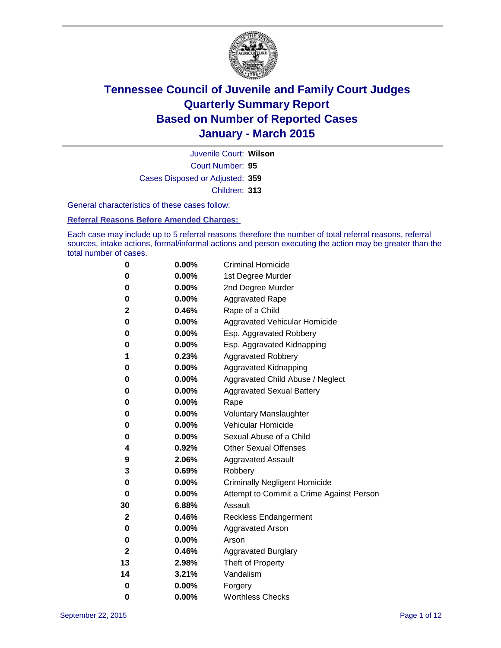

Court Number: **95** Juvenile Court: **Wilson** Cases Disposed or Adjusted: **359** Children: **313**

General characteristics of these cases follow:

#### **Referral Reasons Before Amended Charges:**

Each case may include up to 5 referral reasons therefore the number of total referral reasons, referral sources, intake actions, formal/informal actions and person executing the action may be greater than the total number of cases.

| 0            | $0.00\%$ | <b>Criminal Homicide</b>                 |
|--------------|----------|------------------------------------------|
| 0            | 0.00%    | 1st Degree Murder                        |
| 0            | 0.00%    | 2nd Degree Murder                        |
| 0            | $0.00\%$ | <b>Aggravated Rape</b>                   |
| 2            | 0.46%    | Rape of a Child                          |
| 0            | 0.00%    | Aggravated Vehicular Homicide            |
| 0            | 0.00%    | Esp. Aggravated Robbery                  |
| 0            | 0.00%    | Esp. Aggravated Kidnapping               |
| 1            | 0.23%    | <b>Aggravated Robbery</b>                |
| 0            | 0.00%    | <b>Aggravated Kidnapping</b>             |
| 0            | 0.00%    | Aggravated Child Abuse / Neglect         |
| 0            | 0.00%    | <b>Aggravated Sexual Battery</b>         |
| 0            | 0.00%    | Rape                                     |
| 0            | $0.00\%$ | <b>Voluntary Manslaughter</b>            |
| 0            | 0.00%    | <b>Vehicular Homicide</b>                |
| 0            | 0.00%    | Sexual Abuse of a Child                  |
| 4            | 0.92%    | <b>Other Sexual Offenses</b>             |
| 9            | 2.06%    | <b>Aggravated Assault</b>                |
| 3            | 0.69%    | Robbery                                  |
| 0            | 0.00%    | <b>Criminally Negligent Homicide</b>     |
| 0            | 0.00%    | Attempt to Commit a Crime Against Person |
| 30           | 6.88%    | Assault                                  |
| $\mathbf{2}$ | 0.46%    | <b>Reckless Endangerment</b>             |
| 0            | $0.00\%$ | <b>Aggravated Arson</b>                  |
| 0            | 0.00%    | Arson                                    |
| 2            | 0.46%    | <b>Aggravated Burglary</b>               |
| 13           | 2.98%    | Theft of Property                        |
| 14           | 3.21%    | Vandalism                                |
| 0            | 0.00%    | Forgery                                  |
| 0            | 0.00%    | <b>Worthless Checks</b>                  |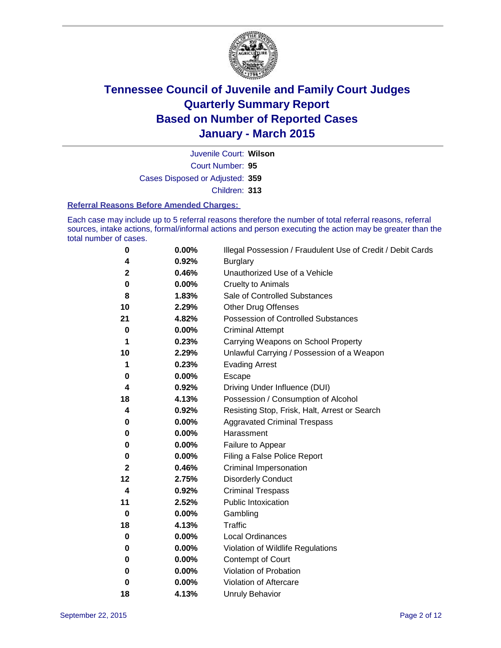

Court Number: **95** Juvenile Court: **Wilson** Cases Disposed or Adjusted: **359** Children: **313**

#### **Referral Reasons Before Amended Charges:**

Each case may include up to 5 referral reasons therefore the number of total referral reasons, referral sources, intake actions, formal/informal actions and person executing the action may be greater than the total number of cases.

| 0            | 0.00%    | Illegal Possession / Fraudulent Use of Credit / Debit Cards |
|--------------|----------|-------------------------------------------------------------|
| 4            | 0.92%    | <b>Burglary</b>                                             |
| $\mathbf 2$  | 0.46%    | Unauthorized Use of a Vehicle                               |
| 0            | $0.00\%$ | <b>Cruelty to Animals</b>                                   |
| 8            | 1.83%    | Sale of Controlled Substances                               |
| 10           | 2.29%    | <b>Other Drug Offenses</b>                                  |
| 21           | 4.82%    | Possession of Controlled Substances                         |
| 0            | $0.00\%$ | <b>Criminal Attempt</b>                                     |
| 1            | 0.23%    | Carrying Weapons on School Property                         |
| 10           | 2.29%    | Unlawful Carrying / Possession of a Weapon                  |
| 1            | 0.23%    | <b>Evading Arrest</b>                                       |
| 0            | 0.00%    | Escape                                                      |
| 4            | 0.92%    | Driving Under Influence (DUI)                               |
| 18           | 4.13%    | Possession / Consumption of Alcohol                         |
| 4            | 0.92%    | Resisting Stop, Frisk, Halt, Arrest or Search               |
| 0            | 0.00%    | <b>Aggravated Criminal Trespass</b>                         |
| 0            | $0.00\%$ | Harassment                                                  |
| 0            | 0.00%    | Failure to Appear                                           |
| 0            | $0.00\%$ | Filing a False Police Report                                |
| $\mathbf{2}$ | 0.46%    | Criminal Impersonation                                      |
| 12           | 2.75%    | <b>Disorderly Conduct</b>                                   |
| 4            | 0.92%    | <b>Criminal Trespass</b>                                    |
| 11           | 2.52%    | <b>Public Intoxication</b>                                  |
| $\bf{0}$     | 0.00%    | Gambling                                                    |
| 18           | 4.13%    | <b>Traffic</b>                                              |
| 0            | 0.00%    | Local Ordinances                                            |
| 0            | $0.00\%$ | Violation of Wildlife Regulations                           |
| 0            | $0.00\%$ | Contempt of Court                                           |
| 0            | 0.00%    | Violation of Probation                                      |
| 0            | 0.00%    | Violation of Aftercare                                      |
| 18           | 4.13%    | <b>Unruly Behavior</b>                                      |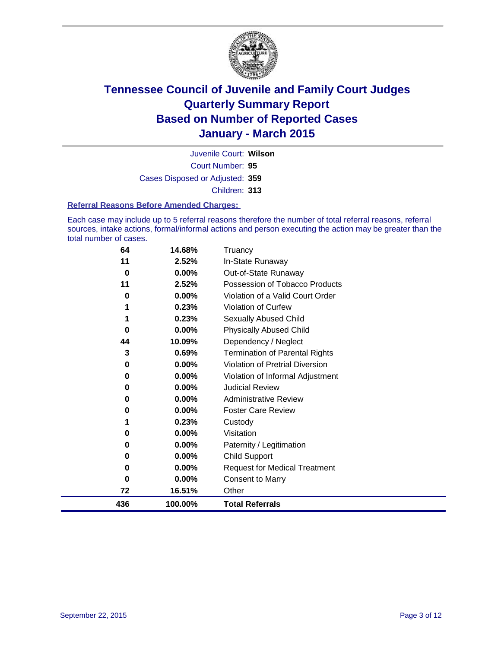

Court Number: **95** Juvenile Court: **Wilson** Cases Disposed or Adjusted: **359** Children: **313**

#### **Referral Reasons Before Amended Charges:**

Each case may include up to 5 referral reasons therefore the number of total referral reasons, referral sources, intake actions, formal/informal actions and person executing the action may be greater than the total number of cases.

| 64  | 14.68%  | Truancy                                |
|-----|---------|----------------------------------------|
| 11  | 2.52%   | In-State Runaway                       |
| 0   | 0.00%   | Out-of-State Runaway                   |
| 11  | 2.52%   | Possession of Tobacco Products         |
| 0   | 0.00%   | Violation of a Valid Court Order       |
|     | 0.23%   | <b>Violation of Curfew</b>             |
|     | 0.23%   | Sexually Abused Child                  |
| 0   | 0.00%   | <b>Physically Abused Child</b>         |
| 44  | 10.09%  | Dependency / Neglect                   |
| 3   | 0.69%   | <b>Termination of Parental Rights</b>  |
| 0   | 0.00%   | <b>Violation of Pretrial Diversion</b> |
| 0   | 0.00%   | Violation of Informal Adjustment       |
| 0   | 0.00%   | <b>Judicial Review</b>                 |
| 0   | 0.00%   | <b>Administrative Review</b>           |
| 0   | 0.00%   | <b>Foster Care Review</b>              |
| 1   | 0.23%   | Custody                                |
| 0   | 0.00%   | Visitation                             |
| 0   | 0.00%   | Paternity / Legitimation               |
| 0   | 0.00%   | <b>Child Support</b>                   |
| 0   | 0.00%   | <b>Request for Medical Treatment</b>   |
| 0   | 0.00%   | <b>Consent to Marry</b>                |
| 72  | 16.51%  | Other                                  |
| 436 | 100.00% | <b>Total Referrals</b>                 |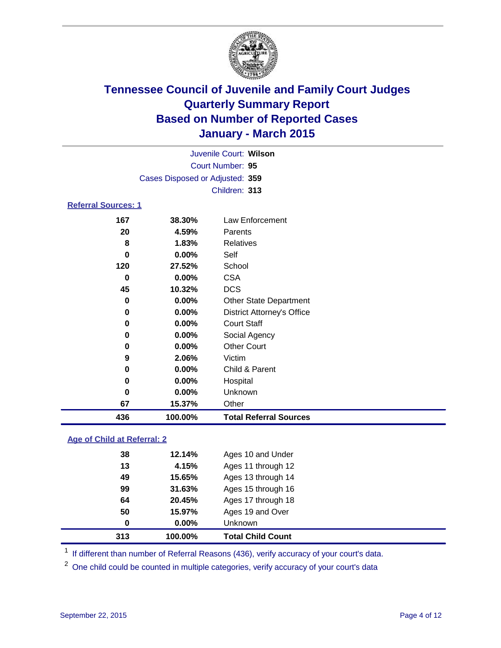

| Juvenile Court: Wilson     |                                 |                                   |  |  |  |  |
|----------------------------|---------------------------------|-----------------------------------|--|--|--|--|
| Court Number: 95           |                                 |                                   |  |  |  |  |
|                            | Cases Disposed or Adjusted: 359 |                                   |  |  |  |  |
|                            |                                 | Children: 313                     |  |  |  |  |
| <b>Referral Sources: 1</b> |                                 |                                   |  |  |  |  |
| 167                        | 38.30%                          | Law Enforcement                   |  |  |  |  |
| 20                         | 4.59%                           | Parents                           |  |  |  |  |
| 8                          | 1.83%                           | Relatives                         |  |  |  |  |
| 0                          | $0.00\%$                        | Self                              |  |  |  |  |
| 120                        | 27.52%                          | School                            |  |  |  |  |
| 0                          | 0.00%                           | <b>CSA</b>                        |  |  |  |  |
| 45                         | 10.32%                          | <b>DCS</b>                        |  |  |  |  |
| 0                          | 0.00%                           | <b>Other State Department</b>     |  |  |  |  |
| 0                          | 0.00%                           | <b>District Attorney's Office</b> |  |  |  |  |
| 0                          | $0.00\%$                        | <b>Court Staff</b>                |  |  |  |  |
| 0                          | $0.00\%$                        | Social Agency                     |  |  |  |  |
| 0                          | $0.00\%$                        | <b>Other Court</b>                |  |  |  |  |
| 9                          | 2.06%                           | Victim                            |  |  |  |  |
| 0                          | $0.00\%$                        | Child & Parent                    |  |  |  |  |
| 0                          | 0.00%                           | Hospital                          |  |  |  |  |
| 0                          | 0.00%                           | Unknown                           |  |  |  |  |
| 67                         | 15.37%                          | Other                             |  |  |  |  |

### **Age of Child at Referral: 2**

| 313 | 100.00% | <b>Total Child Count</b> |  |
|-----|---------|--------------------------|--|
| 0   | 0.00%   | Unknown                  |  |
| 50  | 15.97%  | Ages 19 and Over         |  |
| 64  | 20.45%  | Ages 17 through 18       |  |
| 99  | 31.63%  | Ages 15 through 16       |  |
| 49  | 15.65%  | Ages 13 through 14       |  |
| 13  | 4.15%   | Ages 11 through 12       |  |
| 38  | 12.14%  | Ages 10 and Under        |  |
|     |         |                          |  |

<sup>1</sup> If different than number of Referral Reasons (436), verify accuracy of your court's data.

**100.00% Total Referral Sources**

One child could be counted in multiple categories, verify accuracy of your court's data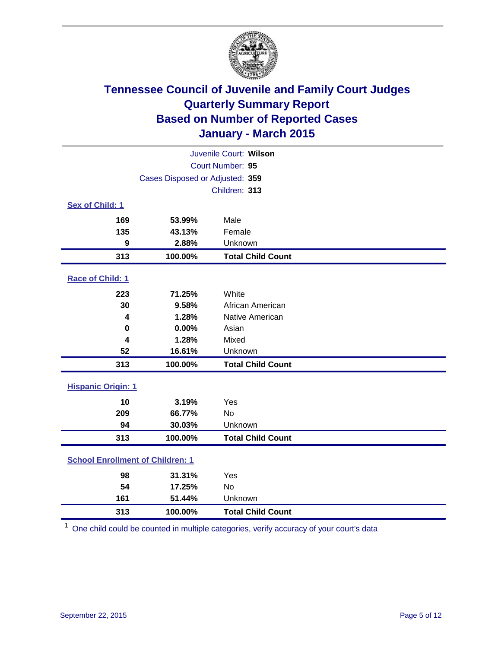

| Juvenile Court: Wilson                  |                                 |                          |  |  |  |
|-----------------------------------------|---------------------------------|--------------------------|--|--|--|
| Court Number: 95                        |                                 |                          |  |  |  |
|                                         | Cases Disposed or Adjusted: 359 |                          |  |  |  |
|                                         |                                 | Children: 313            |  |  |  |
| <b>Sex of Child: 1</b>                  |                                 |                          |  |  |  |
| 169                                     | 53.99%                          | Male                     |  |  |  |
| 135                                     | 43.13%                          | Female                   |  |  |  |
| 9                                       | 2.88%                           | Unknown                  |  |  |  |
| 313                                     | 100.00%                         | <b>Total Child Count</b> |  |  |  |
| Race of Child: 1                        |                                 |                          |  |  |  |
| 223                                     | 71.25%                          | White                    |  |  |  |
| 30                                      | 9.58%                           | African American         |  |  |  |
| 4                                       | 1.28%                           | Native American          |  |  |  |
| 0                                       | 0.00%                           | Asian                    |  |  |  |
| $\overline{\mathbf{4}}$                 | 1.28%                           | Mixed                    |  |  |  |
| 52                                      | 16.61%                          | Unknown                  |  |  |  |
| 313                                     | 100.00%                         | <b>Total Child Count</b> |  |  |  |
| <b>Hispanic Origin: 1</b>               |                                 |                          |  |  |  |
| 10                                      | 3.19%                           | Yes                      |  |  |  |
| 209                                     | 66.77%                          | No                       |  |  |  |
| 94                                      | 30.03%                          | Unknown                  |  |  |  |
| 313                                     | 100.00%                         | <b>Total Child Count</b> |  |  |  |
| <b>School Enrollment of Children: 1</b> |                                 |                          |  |  |  |
| 98                                      | 31.31%                          | Yes                      |  |  |  |
| 54                                      | 17.25%                          | No                       |  |  |  |
| 161                                     | 51.44%                          | Unknown                  |  |  |  |
| 313                                     | 100.00%                         | <b>Total Child Count</b> |  |  |  |

One child could be counted in multiple categories, verify accuracy of your court's data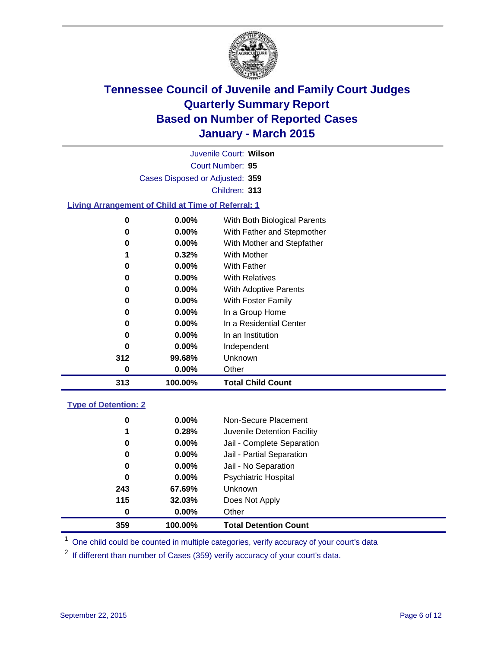

Court Number: **95** Juvenile Court: **Wilson** Cases Disposed or Adjusted: **359** Children: **313**

### **Living Arrangement of Child at Time of Referral: 1**

| 0   | 0.00%    | With Both Biological Parents |
|-----|----------|------------------------------|
| 0   | $0.00\%$ | With Father and Stepmother   |
| 0   | $0.00\%$ | With Mother and Stepfather   |
| 1   | 0.32%    | <b>With Mother</b>           |
| 0   | 0.00%    | With Father                  |
| 0   | $0.00\%$ | <b>With Relatives</b>        |
| 0   | 0.00%    | With Adoptive Parents        |
| 0   | $0.00\%$ | With Foster Family           |
| 0   | 0.00%    | In a Group Home              |
| 0   | $0.00\%$ | In a Residential Center      |
| 0   | $0.00\%$ | In an Institution            |
| 0   | $0.00\%$ | Independent                  |
| 312 | 99.68%   | Unknown                      |
| 0   | 0.00%    | Other                        |
| 313 | 100.00%  | <b>Total Child Count</b>     |

#### **Type of Detention: 2**

| 0<br>1<br>0<br>0<br>0<br>0<br>243<br>115<br>0 | 0.00%<br>0.28%<br>0.00%<br>0.00%<br>$0.00\%$<br>$0.00\%$<br>67.69%<br>32.03%<br>$0.00\%$ | Non-Secure Placement<br>Juvenile Detention Facility<br>Jail - Complete Separation<br>Jail - Partial Separation<br>Jail - No Separation<br><b>Psychiatric Hospital</b><br><b>Unknown</b><br>Does Not Apply<br>Other |  |
|-----------------------------------------------|------------------------------------------------------------------------------------------|--------------------------------------------------------------------------------------------------------------------------------------------------------------------------------------------------------------------|--|
|                                               |                                                                                          |                                                                                                                                                                                                                    |  |
| 359                                           | 100.00%                                                                                  | <b>Total Detention Count</b>                                                                                                                                                                                       |  |

<sup>1</sup> One child could be counted in multiple categories, verify accuracy of your court's data

If different than number of Cases (359) verify accuracy of your court's data.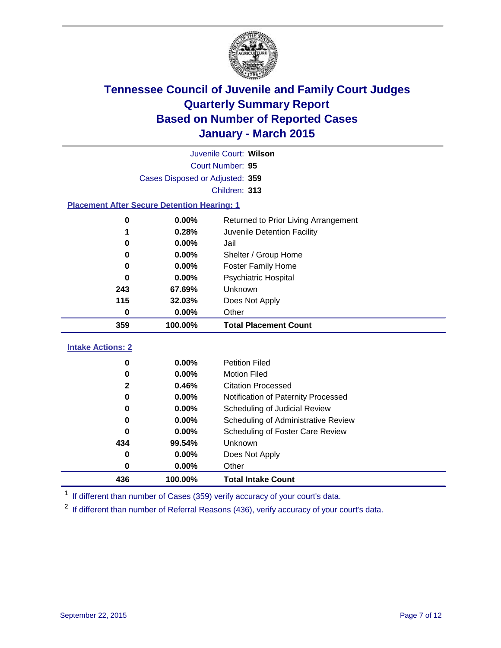

|                                                                                    | Juvenile Court: Wilson          |                                     |  |  |  |  |  |
|------------------------------------------------------------------------------------|---------------------------------|-------------------------------------|--|--|--|--|--|
|                                                                                    | Court Number: 95                |                                     |  |  |  |  |  |
|                                                                                    | Cases Disposed or Adjusted: 359 |                                     |  |  |  |  |  |
|                                                                                    | Children: 313                   |                                     |  |  |  |  |  |
| <b>Placement After Secure Detention Hearing: 1</b>                                 |                                 |                                     |  |  |  |  |  |
| 0.00%<br>Returned to Prior Living Arrangement<br>0                                 |                                 |                                     |  |  |  |  |  |
| 1                                                                                  | 0.28%                           | Juvenile Detention Facility         |  |  |  |  |  |
| 0                                                                                  | 0.00%                           | Jail                                |  |  |  |  |  |
| 0                                                                                  | 0.00%                           | Shelter / Group Home                |  |  |  |  |  |
| n                                                                                  | 0.00%                           | <b>Foster Family Home</b>           |  |  |  |  |  |
| 0                                                                                  | 0.00%                           | <b>Psychiatric Hospital</b>         |  |  |  |  |  |
| 243<br>67.69%<br>Unknown<br>115<br>32.03%<br>Does Not Apply<br>0.00%<br>0<br>Other |                                 |                                     |  |  |  |  |  |
|                                                                                    |                                 |                                     |  |  |  |  |  |
|                                                                                    |                                 |                                     |  |  |  |  |  |
| 359                                                                                | 100.00%                         | <b>Total Placement Count</b>        |  |  |  |  |  |
| <b>Intake Actions: 2</b>                                                           |                                 |                                     |  |  |  |  |  |
| 0                                                                                  | 0.00%                           | <b>Petition Filed</b>               |  |  |  |  |  |
| 0                                                                                  | 0.00%                           | <b>Motion Filed</b>                 |  |  |  |  |  |
| $\mathbf{2}$                                                                       | 0.46%                           | <b>Citation Processed</b>           |  |  |  |  |  |
| 0                                                                                  | 0.00%                           | Notification of Paternity Processed |  |  |  |  |  |
| 0                                                                                  | 0.00%                           | Scheduling of Judicial Review       |  |  |  |  |  |
| Ω                                                                                  | 0.00%                           | Scheduling of Administrative Review |  |  |  |  |  |
| U                                                                                  | 0.00%                           | Scheduling of Foster Care Review    |  |  |  |  |  |
| 434                                                                                | 99.54%                          | <b>Unknown</b>                      |  |  |  |  |  |
| 0                                                                                  | 0.00%                           | Does Not Apply                      |  |  |  |  |  |
| 0                                                                                  | $0.00\%$                        | Other                               |  |  |  |  |  |

<sup>1</sup> If different than number of Cases (359) verify accuracy of your court's data.

**100.00% Total Intake Count**

If different than number of Referral Reasons (436), verify accuracy of your court's data.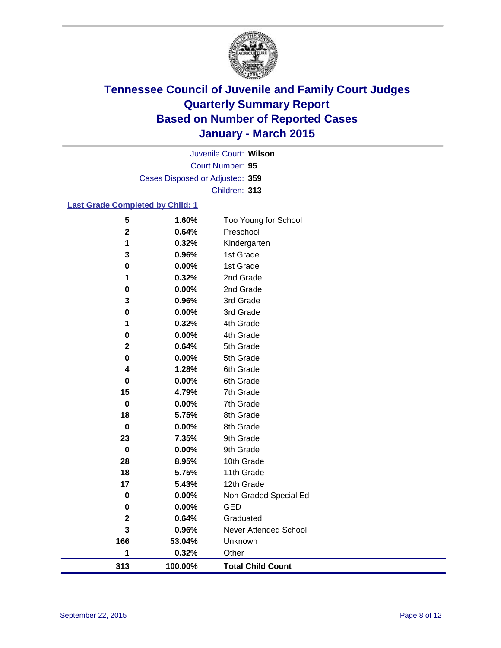

Court Number: **95** Juvenile Court: **Wilson** Cases Disposed or Adjusted: **359** Children: **313**

### **Last Grade Completed by Child: 1**

| 313                     | 100.00%        | <b>Total Child Count</b>     |
|-------------------------|----------------|------------------------------|
| 1                       | 0.32%          | Other                        |
| 166                     | 53.04%         | Unknown                      |
| $\overline{\mathbf{3}}$ | 0.96%          | <b>Never Attended School</b> |
| $\mathbf 2$             | 0.64%          | Graduated                    |
| 0                       | $0.00\%$       | <b>GED</b>                   |
| $\pmb{0}$               | 0.00%          | Non-Graded Special Ed        |
| 17                      | 5.43%          | 12th Grade                   |
| 18                      | 5.75%          | 11th Grade                   |
| 28                      | 8.95%          | 10th Grade                   |
| $\pmb{0}$               | $0.00\%$       | 9th Grade                    |
| 23                      | 7.35%          | 9th Grade                    |
| $\mathbf 0$             | 0.00%          | 8th Grade                    |
| 18                      | 5.75%          | 8th Grade                    |
| $\mathbf 0$             | 0.00%          | 7th Grade                    |
| 15                      | 4.79%          | 7th Grade                    |
| $\mathbf 0$             | 0.00%          | 6th Grade                    |
| 4                       | 1.28%          | 6th Grade                    |
| $\mathbf 0$             | 0.00%          | 5th Grade                    |
| $\mathbf 2$             | 0.64%          | 5th Grade                    |
| 0                       | 0.00%          | 4th Grade                    |
| 0<br>1                  | 0.32%          | 4th Grade                    |
| 3                       | 0.96%<br>0.00% | 3rd Grade<br>3rd Grade       |
| $\bf{0}$                | 0.00%          | 2nd Grade                    |
| 1                       | 0.32%          | 2nd Grade                    |
| $\pmb{0}$               | 0.00%          | 1st Grade                    |
| 3                       | 0.96%          | 1st Grade                    |
| 1                       | 0.32%          | Kindergarten                 |
| $\mathbf 2$             | 0.64%          | Preschool                    |
| 5                       | 1.60%          | Too Young for School         |
|                         |                |                              |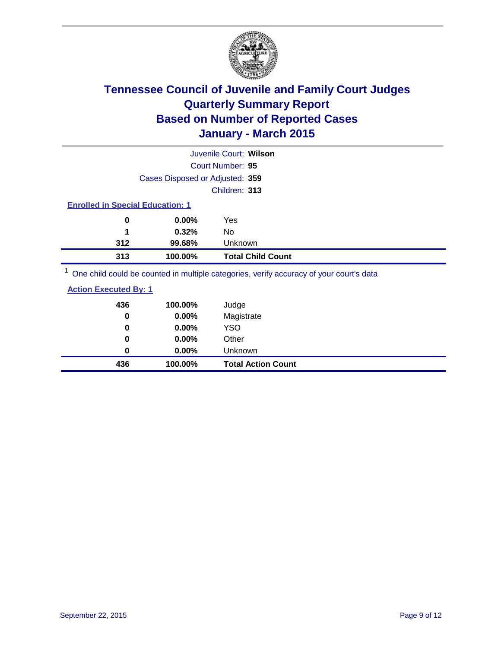

|                                         | Juvenile Court: Wilson          |                          |  |  |
|-----------------------------------------|---------------------------------|--------------------------|--|--|
|                                         | Court Number: 95                |                          |  |  |
|                                         | Cases Disposed or Adjusted: 359 |                          |  |  |
|                                         |                                 | Children: 313            |  |  |
| <b>Enrolled in Special Education: 1</b> |                                 |                          |  |  |
| 0                                       | 0.00%<br>Yes                    |                          |  |  |
| 1                                       | 0.32%<br>No                     |                          |  |  |
| 312                                     | 99.68%                          | Unknown                  |  |  |
| 313                                     | 100.00%                         | <b>Total Child Count</b> |  |  |
| $\overline{ }$                          |                                 |                          |  |  |

<sup>1</sup> One child could be counted in multiple categories, verify accuracy of your court's data

| <b>Action Executed By: 1</b> |
|------------------------------|
|------------------------------|

| 436<br>0 | 100.00%<br>0.00% | Judge<br>Magistrate       |
|----------|------------------|---------------------------|
| 0        | 0.00%            | <b>YSO</b>                |
| 0        | 0.00%            | Other                     |
| 0        | 0.00%            | Unknown                   |
| 436      | 100.00%          | <b>Total Action Count</b> |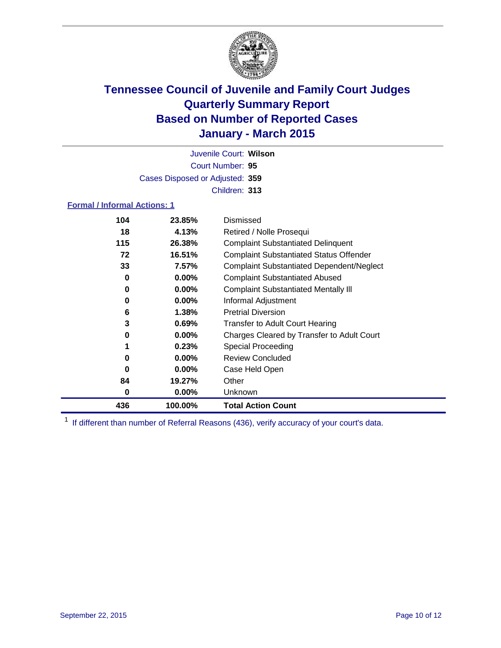

Court Number: **95** Juvenile Court: **Wilson** Cases Disposed or Adjusted: **359** Children: **313**

### **Formal / Informal Actions: 1**

| 104 | 23.85%   | Dismissed                                        |
|-----|----------|--------------------------------------------------|
| 18  | 4.13%    | Retired / Nolle Prosequi                         |
| 115 | 26.38%   | <b>Complaint Substantiated Delinquent</b>        |
| 72  | 16.51%   | <b>Complaint Substantiated Status Offender</b>   |
| 33  | 7.57%    | <b>Complaint Substantiated Dependent/Neglect</b> |
| 0   | $0.00\%$ | <b>Complaint Substantiated Abused</b>            |
| 0   | $0.00\%$ | <b>Complaint Substantiated Mentally III</b>      |
| 0   | $0.00\%$ | Informal Adjustment                              |
| 6   | $1.38\%$ | <b>Pretrial Diversion</b>                        |
| 3   | 0.69%    | <b>Transfer to Adult Court Hearing</b>           |
| 0   | 0.00%    | Charges Cleared by Transfer to Adult Court       |
|     | 0.23%    | Special Proceeding                               |
| 0   | $0.00\%$ | <b>Review Concluded</b>                          |
| 0   | $0.00\%$ | Case Held Open                                   |
| 84  | 19.27%   | Other                                            |
| 0   | $0.00\%$ | Unknown                                          |
| 436 | 100.00%  | <b>Total Action Count</b>                        |

<sup>1</sup> If different than number of Referral Reasons (436), verify accuracy of your court's data.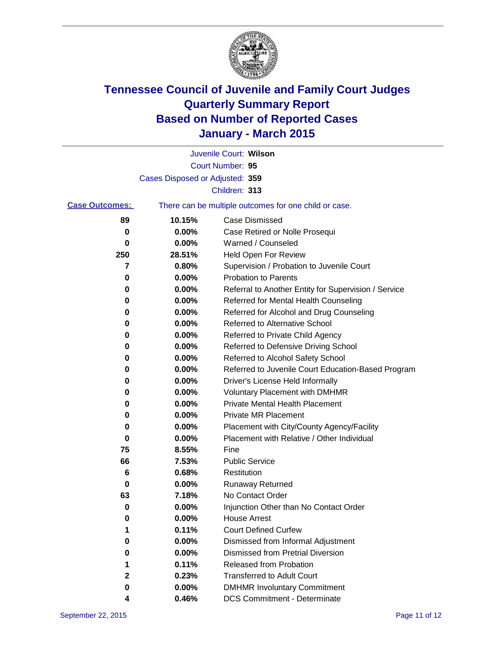

|                       |                                 | Juvenile Court: Wilson                                |
|-----------------------|---------------------------------|-------------------------------------------------------|
|                       |                                 | Court Number: 95                                      |
|                       | Cases Disposed or Adjusted: 359 |                                                       |
|                       |                                 | Children: 313                                         |
| <b>Case Outcomes:</b> |                                 | There can be multiple outcomes for one child or case. |
| 89                    | 10.15%                          | <b>Case Dismissed</b>                                 |
| 0                     | $0.00\%$                        | Case Retired or Nolle Prosequi                        |
| 0                     | 0.00%                           | Warned / Counseled                                    |
| 250                   | 28.51%                          | <b>Held Open For Review</b>                           |
| 7                     | 0.80%                           | Supervision / Probation to Juvenile Court             |
| 0                     | 0.00%                           | <b>Probation to Parents</b>                           |
| 0                     | 0.00%                           | Referral to Another Entity for Supervision / Service  |
| 0                     | 0.00%                           | Referred for Mental Health Counseling                 |
| 0                     | 0.00%                           | Referred for Alcohol and Drug Counseling              |
| 0                     | 0.00%                           | <b>Referred to Alternative School</b>                 |
| 0                     | 0.00%                           | Referred to Private Child Agency                      |
| 0                     | 0.00%                           | Referred to Defensive Driving School                  |
| 0                     | 0.00%                           | Referred to Alcohol Safety School                     |
| 0                     | 0.00%                           | Referred to Juvenile Court Education-Based Program    |
| 0                     | 0.00%                           | Driver's License Held Informally                      |
| 0                     | 0.00%                           | <b>Voluntary Placement with DMHMR</b>                 |
| 0                     | 0.00%                           | <b>Private Mental Health Placement</b>                |
| 0                     | 0.00%                           | <b>Private MR Placement</b>                           |
| 0                     | 0.00%                           | Placement with City/County Agency/Facility            |
| 0                     | 0.00%                           | Placement with Relative / Other Individual            |
| 75                    | 8.55%                           | Fine                                                  |
| 66                    | 7.53%                           | <b>Public Service</b>                                 |
| 6                     | 0.68%                           | Restitution                                           |
| 0                     | 0.00%                           | <b>Runaway Returned</b>                               |
| 63                    | 7.18%                           | No Contact Order                                      |
| 0                     | 0.00%                           | Injunction Other than No Contact Order                |
| 0                     | $0.00\%$                        | House Arrest                                          |
| 1                     | 0.11%                           | <b>Court Defined Curfew</b>                           |
| 0                     | 0.00%                           | Dismissed from Informal Adjustment                    |
| 0                     | 0.00%                           | <b>Dismissed from Pretrial Diversion</b>              |
| 1                     | 0.11%                           | Released from Probation                               |
| 2                     | 0.23%                           | <b>Transferred to Adult Court</b>                     |
| 0                     | 0.00%                           | <b>DMHMR Involuntary Commitment</b>                   |
| 4                     | 0.46%                           | <b>DCS Commitment - Determinate</b>                   |